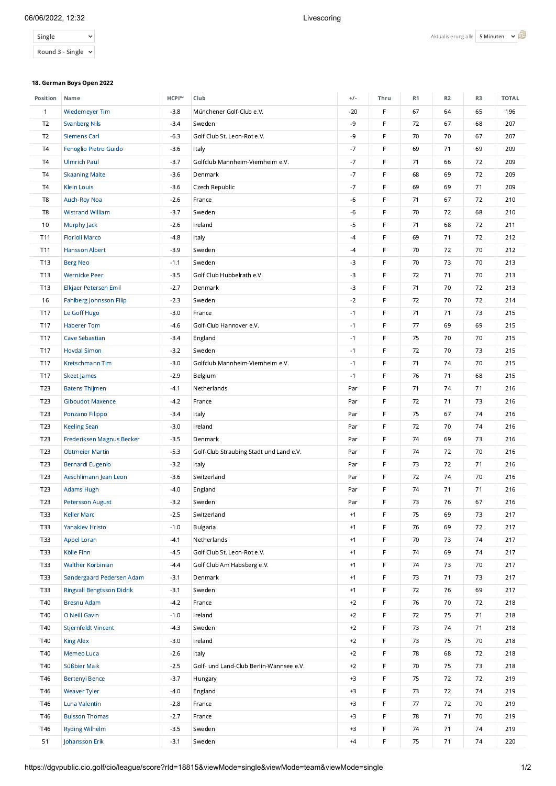## 06/06/2022, 12:32 Livescoring

| Single           |  |
|------------------|--|
| Round 3 - Single |  |

## 18. German Boys Open 2022

| Position        | Name                             | HCPI™  | Club                                    | $+/-$ | Thru | R1 | R <sub>2</sub> | R3 | <b>TOTAL</b> |
|-----------------|----------------------------------|--------|-----------------------------------------|-------|------|----|----------------|----|--------------|
| $\mathbf{1}$    | Wiedemeyer Tim                   | $-3.8$ | Münchener Golf-Club e.V.                | $-20$ | F    | 67 | 64             | 65 | 196          |
| T <sub>2</sub>  | <b>Svanberg Nils</b>             | $-3.4$ | Sweden                                  | $-9$  | F    | 72 | 67             | 68 | 207          |
| T <sub>2</sub>  | <b>Siemens Carl</b>              | $-6.3$ | Golf Club St. Leon-Rot e.V.             | -9    | F    | 70 | 70             | 67 | 207          |
| <b>T4</b>       | Fenoglio Pietro Guido            | $-3.6$ | Italy                                   | $-7$  | F    | 69 | 71             | 69 | 209          |
| T4              | <b>Ulmrich Paul</b>              | $-3.7$ | Golfclub Mannheim-Viernheim e.V.        | $-7$  | F    | 71 | 66             | 72 | 209          |
| <b>T4</b>       | <b>Skaaning Malte</b>            | $-3.6$ | Denmark                                 | $-7$  | F    | 68 | 69             | 72 | 209          |
| <b>T4</b>       | <b>Klein Louis</b>               | $-3.6$ | Czech Republic                          | $-7$  | F    | 69 | 69             | 71 | 209          |
| T8              | Auch-Roy Noa                     | $-2.6$ | France                                  | $-6$  | F    | 71 | 67             | 72 | 210          |
| T8              | <b>Wistrand William</b>          | $-3.7$ | Sweden                                  | $-6$  | F    | 70 | 72             | 68 | 210          |
| 10              | Murphy Jack                      | $-2.6$ | Ireland                                 | $-5$  | F    | 71 | 68             | 72 | 211          |
| T11             | <b>Florioli Marco</b>            | $-4.8$ |                                         | $-4$  | F    | 69 | 71             |    | 212          |
|                 |                                  |        | Italy                                   |       |      |    |                | 72 |              |
| <b>T11</b>      | <b>Hansson Albert</b>            | $-3.9$ | Sweden                                  | $-4$  | F    | 70 | 72             | 70 | 212          |
| T13             | <b>Berg Neo</b>                  | $-1.1$ | Sweden                                  | -3    | F    | 70 | 73             | 70 | 213          |
| T13             | <b>Wernicke Peer</b>             | $-3.5$ | Golf Club Hubbelrath e.V.               | $-3$  | F    | 72 | 71             | 70 | 213          |
| T13             | Elkjaer Petersen Emil            | $-2.7$ | Denmark                                 | $-3$  | F    | 71 | 70             | 72 | 213          |
| 16              | Fahlberg Johnsson Filip          | $-2.3$ | Sweden                                  | $-2$  | F    | 72 | 70             | 72 | 214          |
| T17             | Le Goff Hugo                     | $-3.0$ | France                                  | $-1$  | F    | 71 | 71             | 73 | 215          |
| T17             | <b>Haberer Tom</b>               | $-4.6$ | Golf-Club Hannover e.V.                 | $-1$  | F    | 77 | 69             | 69 | 215          |
| T17             | <b>Cave Sebastian</b>            | $-3.4$ | England                                 | $-1$  | F    | 75 | 70             | 70 | 215          |
| <b>T17</b>      | <b>Hovdal Simon</b>              | $-3.2$ | Sweden                                  | $-1$  | F    | 72 | 70             | 73 | 215          |
| T17             | Kretschmann Tim                  | $-3.0$ | Golfclub Mannheim-Viernheim e.V.        | $-1$  | F    | 71 | 74             | 70 | 215          |
| T17             | <b>Skeet James</b>               | $-2.9$ | Belgium                                 | $-1$  | F    | 76 | 71             | 68 | 215          |
| T <sub>23</sub> | <b>Batens Thijmen</b>            | $-4.1$ | Netherlands                             | Par   | F    | 71 | 74             | 71 | 216          |
| T23             | Giboudot Maxence                 | $-4.2$ | France                                  | Par   | F    | 72 | 71             | 73 | 216          |
| T <sub>23</sub> | Ponzano Filippo                  | $-3.4$ | Italy                                   | Par   | F    | 75 | 67             | 74 | 216          |
| T <sub>23</sub> | <b>Keeling Sean</b>              | $-3.0$ | Ireland                                 | Par   | F    | 72 | 70             | 74 | 216          |
| T23             | Frederiksen Magnus Becker        | $-3.5$ | Denmark                                 | Par   | F    | 74 | 69             | 73 | 216          |
| T23             | <b>Obtmeier Martin</b>           | $-5.3$ | Golf-Club Straubing Stadt und Land e.V. | Par   | F    | 74 | 72             | 70 | 216          |
| T <sub>23</sub> | Bernardi Eugenio                 | $-3.2$ | Italy                                   | Par   | F    | 73 | 72             | 71 | 216          |
| T <sub>23</sub> | Aeschlimann Jean Leon            | $-3.6$ | Switzerland                             | Par   | F    | 72 | 74             | 70 | 216          |
| T23             | <b>Adams Hugh</b>                | $-4.0$ | England                                 | Par   | F    | 74 | 71             | 71 | 216          |
| T <sub>23</sub> | <b>Petersson August</b>          | $-3.2$ | Sweden                                  | Par   | F    | 73 | 76             | 67 | 216          |
| T33             | Keller Marc                      | $-2.5$ | Switzerland                             | $+1$  | F    | 75 | 69             | 73 | 217          |
| T33             | <b>Yanakiev Hristo</b>           | $-1.0$ | Bulgaria                                | $+1$  | F    | 76 | 69             | 72 | 217          |
| T33             | Appel Loran                      | $-4.1$ | Netherlands                             | $+1$  | F    | 70 | 73             | 74 | 217          |
| <b>T33</b>      | Kölle Finn                       | $-4.5$ | Golf Club St. Leon-Rot e.V.             | $+1$  | F    | 74 | 69             | 74 | 217          |
| T33             | Walther Korbinian                | $-4.4$ | Golf Club Am Habsberg e.V.              | $+1$  | F    | 74 | 73             | 70 | 217          |
| T33             | Søndergaard Pedersen Adam        | $-3.1$ | Denmark                                 | $+1$  | F    | 73 | 71             | 73 | 217          |
| T33             | <b>Ringvall Bengtsson Didrik</b> | $-3.1$ | Sweden                                  | $+1$  | F    | 72 | 76             | 69 | 217          |
| T40             | <b>Bresnu Adam</b>               | $-4.2$ | France                                  | $+2$  | F    | 76 | 70             | 72 | 218          |
| T40             | O Neill Gavin                    | $-1.0$ | Ireland                                 | $+2$  | F    | 72 | 75             | 71 | 218          |
| T40             | Stjernfeldt Vincent              | $-4.3$ | Sweden                                  | $+2$  | F    | 73 | 74             | 71 | 218          |
| T40             | <b>King Alex</b>                 | $-3.0$ | Ireland                                 | $+2$  | F    | 73 | 75             | 70 | 218          |
| T40             | Memeo Luca                       | $-2.6$ | Italy                                   | $+2$  | F    | 78 | 68             | 72 | 218          |
| T40             | Süßbier Maik                     | $-2.5$ | Golf- und Land-Club Berlin-Wannsee e.V. | $+2$  | F    | 70 | 75             | 73 | 218          |
| T46             | <b>Bertenyi Bence</b>            | $-3.7$ | Hungary                                 | $+3$  | F    | 75 | 72             | 72 | 219          |
| T46             | <b>Weaver Tyler</b>              | $-4.0$ | England                                 | $+3$  | F    | 73 | 72             | 74 | 219          |
| T46             | Luna Valentin                    | $-2.8$ | France                                  | $+3$  | F    | 77 | 72             | 70 | 219          |
| T46             | <b>Buisson Thomas</b>            | $-2.7$ |                                         | $+3$  | F    | 78 | 71             |    |              |
|                 |                                  |        | France                                  |       |      |    |                | 70 | 219          |
| T46             | <b>Ryding Wilhelm</b>            | $-3.5$ | Sweden                                  | $+3$  | F    | 74 | 71             | 74 | 219          |
| 51              | Johansson Erik                   | $-3.1$ | Sweden                                  | $+4$  | F    | 75 | $71$           | 74 | 220          |